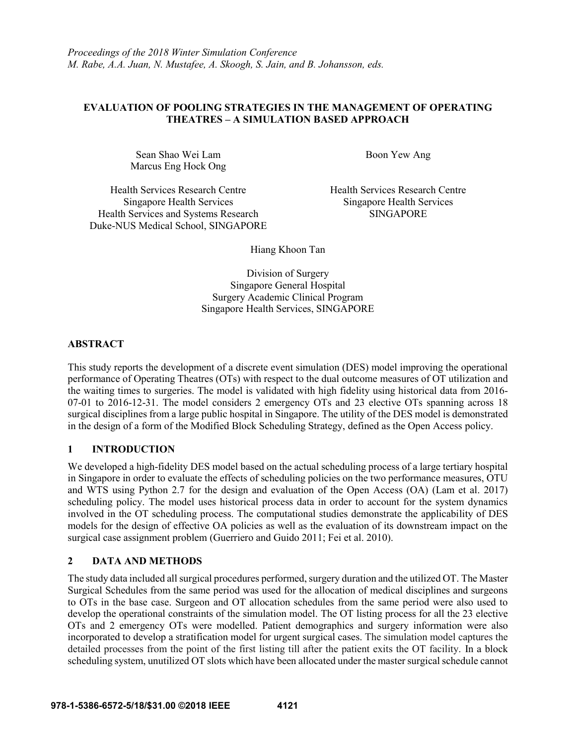### **EVALUATION OF POOLING STRATEGIES IN THE MANAGEMENT OF OPERATING THEATRES – A SIMULATION BASED APPROACH**

Sean Shao Wei Lam Marcus Eng Hock Ong Boon Yew Ang

Health Services Research Centre Singapore Health Services Health Services and Systems Research Duke-NUS Medical School, SINGAPORE Health Services Research Centre Singapore Health Services SINGAPORE

Hiang Khoon Tan

Division of Surgery Singapore General Hospital Surgery Academic Clinical Program Singapore Health Services, SINGAPORE

# **ABSTRACT**

This study reports the development of a discrete event simulation (DES) model improving the operational performance of Operating Theatres (OTs) with respect to the dual outcome measures of OT utilization and the waiting times to surgeries. The model is validated with high fidelity using historical data from 2016- 07-01 to 2016-12-31. The model considers 2 emergency OTs and 23 elective OTs spanning across 18 surgical disciplines from a large public hospital in Singapore. The utility of the DES model is demonstrated in the design of a form of the Modified Block Scheduling Strategy, defined as the Open Access policy.

# **1 INTRODUCTION**

We developed a high-fidelity DES model based on the actual scheduling process of a large tertiary hospital in Singapore in order to evaluate the effects of scheduling policies on the two performance measures, OTU and WTS using Python 2.7 for the design and evaluation of the Open Access (OA) (Lam et al. 2017) scheduling policy. The model uses historical process data in order to account for the system dynamics involved in the OT scheduling process. The computational studies demonstrate the applicability of DES models for the design of effective OA policies as well as the evaluation of its downstream impact on the surgical case assignment problem (Guerriero and Guido 2011; Fei et al. 2010).

# **2 DATA AND METHODS**

The study data included all surgical procedures performed, surgery duration and the utilized OT. The Master Surgical Schedules from the same period was used for the allocation of medical disciplines and surgeons to OTs in the base case. Surgeon and OT allocation schedules from the same period were also used to develop the operational constraints of the simulation model. The OT listing process for all the 23 elective OTs and 2 emergency OTs were modelled. Patient demographics and surgery information were also incorporated to develop a stratification model for urgent surgical cases. The simulation model captures the detailed processes from the point of the first listing till after the patient exits the OT facility. In a block scheduling system, unutilized OT slots which have been allocated under the master surgical schedule cannot